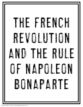

Andrew Fergen © HoJo's Teaching Adventures, LLC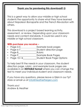## **Thank you for previewing this download!!** ☺

This is a great way to allow your middle or high school students the opportunity to share what they have learned about Napoleon Bonaparte and the French Revolution with others.

This download is a project based learning activity, assessment, or review. Depending upon your classroom needs and content standards, it could be used in any middle or high school classroom.

## **With purchase you receive –**

- Page 4-5\_\_\_\_\_\_\_\_\_\_\_\_\_\_\_\_Example book pages
- Page 6-7 Student direction page
- Page 8 Rubric
- Page 9 Example Book Pages
- Page 10-14 Student Book Page Options

To help best fit the needs in your classroom, the student direction page, rubric, and example book pages are available in an **EDITABLE format** where you can change the text to meet your individual student and classroom needs.

If you have any questions, please leave a Q&A in our TpT store or email us at [info@HeatherFergen.com](mailto:info@HeatherFergen.com)

Thank you! Andrew & Heather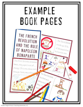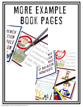

Andrew Fergen © HoJo's Teaching Adventures, LLC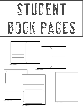